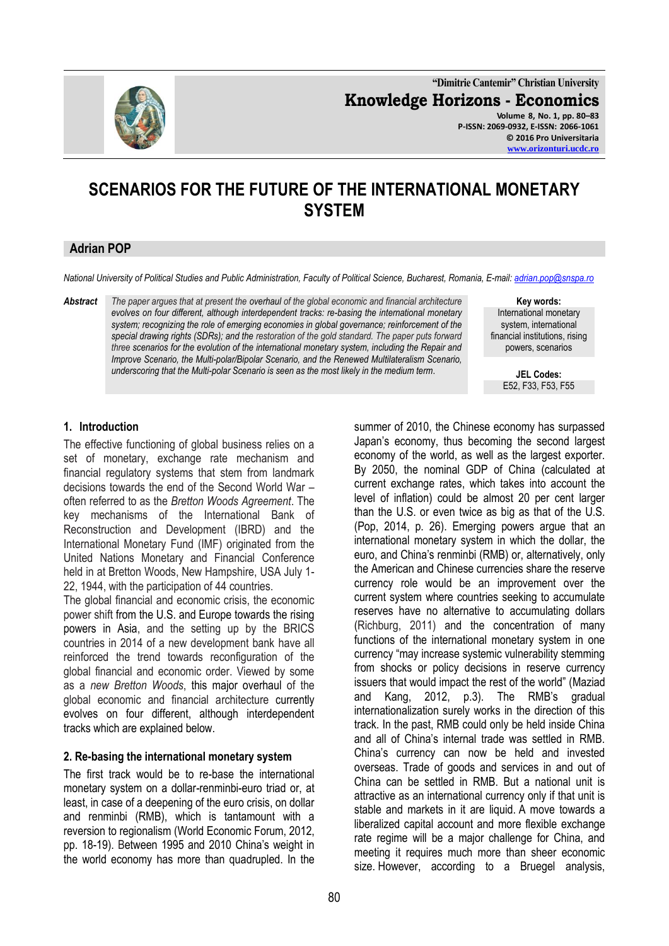

**"Dimitrie Cantemir" Christian University Knowledge Horizons - Economics Volume 8, No. 1, pp. 80–83 P-ISSN: 2069-0932, E-ISSN: 2066-1061 © 2016 Pro Universitaria**

**[www.orizonturi.ucdc.ro](http://www.orizonturi.ucdc.ro/)**

# **SCENARIOS FOR THE FUTURE OF THE INTERNATIONAL MONETARY SYSTEM**

## **Adrian POP**

*National University of Political Studies and Public Administration, Faculty of Political Science, Bucharest, Romania, E-mail: [adrian.pop@snspa.ro](mailto:adrian.pop@snspa.ro)*

*Abstract The paper argues that at present the overhaul of the global economic and financial architecture evolves on four different, although interdependent tracks: re-basing the international monetary system; recognizing the role of emerging economies in global governance; reinforcement of the special drawing rights (SDRs); and the restoration of the gold standard. The paper puts forward three scenarios for the evolution of the international monetary system, including the Repair and Improve Scenario, the Multi-polar/Bipolar Scenario, and the Renewed Multilateralism Scenario, underscoring that the Multi-polar Scenario is seen as the most likely in the medium term*.

**Key words:** International monetary system, international financial institutions, rising powers, scenarios

> **JEL Codes:** E52, F33, F53, F55

## **1. Introduction**

The effective functioning of global business relies on a set of monetary, exchange rate mechanism and financial regulatory systems that stem from landmark decisions towards the end of the Second World War – often referred to as the *Bretton Woods Agreement*. The key mechanisms of the International Bank of Reconstruction and Development (IBRD) and the International Monetary Fund (IMF) originated from the United Nations Monetary and Financial Conference held in at Bretton Woods, New Hampshire, USA July 1- 22, 1944, with the participation of 44 countries.

The global financial and economic crisis, the economic power shift from the U.S. and Europe towards the rising powers in Asia, and the setting up by the BRICS countries in 2014 of a new development bank have all reinforced the trend towards reconfiguration of the global financial and economic order. Viewed by some as a *new Bretton Woods*, this major overhaul of the global economic and financial architecture currently evolves on four different, although interdependent tracks which are explained below.

#### **2. Re-basing the international monetary system**

The first track would be to re-base the international monetary system on a dollar-renminbi-euro triad or, at least, in case of a deepening of the euro crisis, on dollar and renminbi (RMB), which is tantamount with a reversion to regionalism (World Economic Forum, 2012, pp. 18-19). Between 1995 and 2010 China's weight in the world economy has more than quadrupled. In the summer of 2010, the Chinese economy has surpassed Japan's economy, thus becoming the second largest economy of the world, as well as the largest exporter. By 2050, the nominal GDP of China (calculated at current exchange rates, which takes into account the level of inflation) could be almost 20 per cent larger than the U.S. or even twice as big as that of the U.S. (Pop, 2014, p. 26). Emerging powers argue that an international monetary system in which the dollar, the euro, and China's renminbi (RMB) or, alternatively, only the American and Chinese currencies share the reserve currency role would be an improvement over the current system where countries seeking to accumulate reserves have no alternative to accumulating dollars (Richburg, 2011) and the concentration of many functions of the international monetary system in one currency "may increase systemic vulnerability stemming from shocks or policy decisions in reserve currency issuers that would impact the rest of the world" (Maziad and Kang, 2012, p.3). The RMB's gradual internationalization surely works in the direction of this track. In the past, RMB could only be held inside China and all of China's internal trade was settled in RMB. China's currency can now be held and invested overseas. Trade of goods and services in and out of China can be settled in RMB. But a national unit is attractive as an international currency only if that unit is stable and markets in it are liquid. A move towards a liberalized capital account and more flexible exchange rate regime will be a major challenge for China, and meeting it requires much more than sheer economic size. However, according to a Bruegel analysis,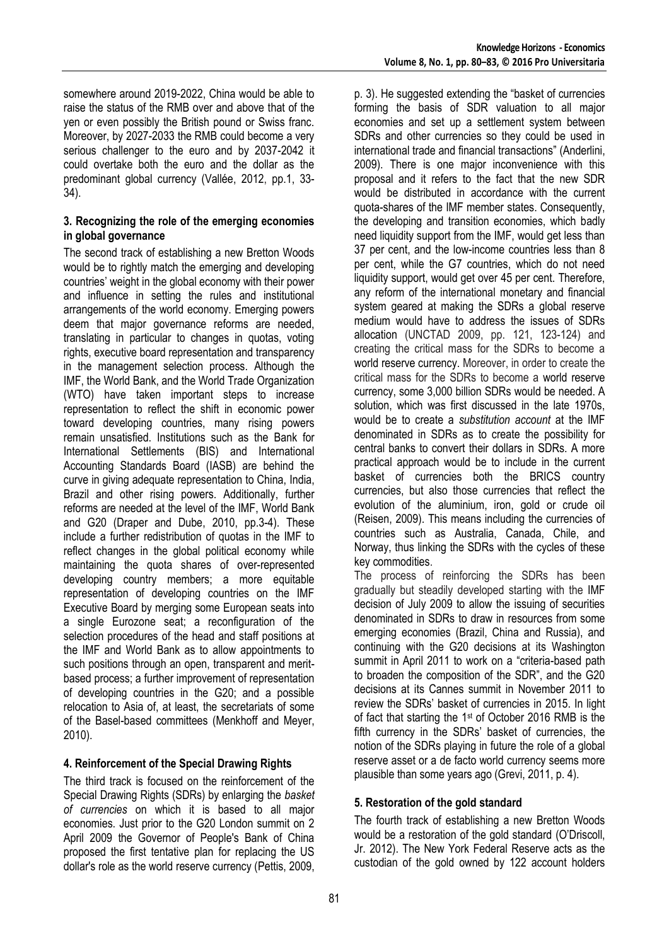somewhere around 2019-2022, China would be able to raise the status of the RMB over and above that of the yen or even possibly the British pound or Swiss franc. Moreover, by 2027-2033 the RMB could become a very serious challenger to the euro and by 2037-2042 it could overtake both the euro and the dollar as the predominant global currency (Vallée, 2012, pp.1, 33- 34).

## **3. Recognizing the role of the emerging economies in global governance**

The second track of establishing a new Bretton Woods would be to rightly match the emerging and developing countries' weight in the global economy with their power and influence in setting the rules and institutional arrangements of the world economy. Emerging powers deem that major governance reforms are needed, translating in particular to changes in quotas, voting rights, executive board representation and transparency in the management selection process. Although the IMF, the World Bank, and the World Trade Organization (WTO) have taken important steps to increase representation to reflect the shift in economic power toward developing countries, many rising powers remain unsatisfied. Institutions such as the Bank for International Settlements (BIS) and International Accounting Standards Board (IASB) are behind the curve in giving adequate representation to China, India, Brazil and other rising powers. Additionally, further reforms are needed at the level of the IMF, World Bank and G20 (Draper and Dube, 2010, pp.3-4). These include a further redistribution of quotas in the IMF to reflect changes in the global political economy while maintaining the quota shares of over-represented developing country members; a more equitable representation of developing countries on the IMF Executive Board by merging some European seats into a single Eurozone seat; a reconfiguration of the selection procedures of the head and staff positions at the IMF and World Bank as to allow appointments to such positions through an open, transparent and meritbased process; a further improvement of representation of developing countries in the G20; and a possible relocation to Asia of, at least, the secretariats of some of the Basel-based committees (Menkhoff and Meyer, 2010).

## **4. Reinforcement of the Special Drawing Rights**

The third track is focused on the reinforcement of the Special Drawing Rights (SDRs) by enlarging the *basket of currencies* on which it is based to all major economies. Just prior to the G20 London summit on 2 April 2009 the Governor of People's Bank of China proposed the first tentative plan for replacing the US dollar's role as the world reserve currency (Pettis, 2009,

p. 3). He suggested extending the "basket of currencies forming the basis of SDR valuation to all major economies and set up a settlement system between SDRs and other currencies so they could be used in international trade and financial transactions" (Anderlini, 2009). There is one major inconvenience with this proposal and it refers to the fact that the new SDR would be distributed in accordance with the current quota-shares of the IMF member states. Consequently, the developing and transition economies, which badly need liquidity support from the IMF, would get less than 37 per cent, and the low-income countries less than 8 per cent, while the G7 countries, which do not need liquidity support, would get over 45 per cent. Therefore, any reform of the international monetary and financial system geared at making the SDRs a global reserve medium would have to address the issues of SDRs allocation (UNCTAD 2009, pp. 121, 123-124) and creating the critical mass for the SDRs to become a world reserve currency. Moreover, in order to create the critical mass for the SDRs to become a world reserve currency, some 3,000 billion SDRs would be needed. A solution, which was first discussed in the late 1970s, would be to create a *substitution account* at the IMF denominated in SDRs as to create the possibility for central banks to convert their dollars in SDRs. A more practical approach would be to include in the current basket of currencies both the BRICS country currencies, but also those currencies that reflect the evolution of the aluminium, iron, gold or crude oil (Reisen, 2009). This means including the currencies of countries such as Australia, Canada, Chile, and Norway, thus linking the SDRs with the cycles of these key commodities.

The process of reinforcing the SDRs has been gradually but steadily developed starting with the IMF decision of July 2009 to allow the issuing of securities denominated in SDRs to draw in resources from some emerging economies (Brazil, China and Russia), and continuing with the G20 decisions at its Washington summit in April 2011 to work on a "criteria-based path to broaden the composition of the SDR", and the G20 decisions at its Cannes summit in November 2011 to review the SDRs' basket of currencies in 2015. In light of fact that starting the 1<sup>st</sup> of October 2016 RMB is the fifth currency in the SDRs' basket of currencies, the notion of the SDRs playing in future the role of a global reserve asset or a de facto world currency seems more plausible than some years ago (Grevi, 2011, p. 4).

## **5. Restoration of the gold standard**

The fourth track of establishing a new Bretton Woods would be a restoration of the gold standard (O'Driscoll, Jr. 2012). The New York Federal Reserve acts as the custodian of the gold owned by 122 account holders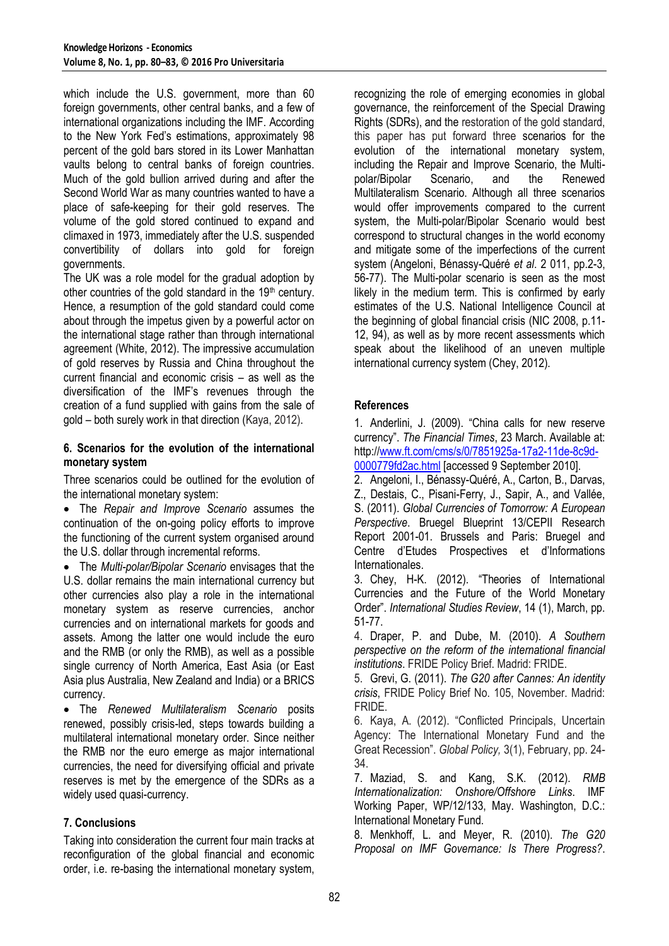which include the U.S. government, more than 60 foreign governments, other central banks, and a few of international organizations including the IMF. According to the New York Fed's estimations, approximately 98 percent of the gold bars stored in its Lower Manhattan vaults belong to central banks of foreign countries. Much of the gold bullion arrived during and after the Second World War as many countries wanted to have a place of safe-keeping for their gold reserves. The volume of the gold stored continued to expand and climaxed in 1973, immediately after the U.S. suspended convertibility of dollars into gold for foreign governments.

The UK was a role model for the gradual adoption by other countries of the gold standard in the 19<sup>th</sup> century. Hence, a resumption of the gold standard could come about through the impetus given by a powerful actor on the international stage rather than through international agreement (White, 2012). The impressive accumulation of gold reserves by Russia and China throughout the current financial and economic crisis – as well as the diversification of the IMF's revenues through the creation of a fund supplied with gains from the sale of gold – both surely work in that direction (Kaya, 2012).

#### **6. Scenarios for the evolution of the international monetary system**

Three scenarios could be outlined for the evolution of the international monetary system:

 The *Repair and Improve Scenario* assumes the continuation of the on-going policy efforts to improve the functioning of the current system organised around the U.S. dollar through incremental reforms.

 The *Multi-polar/Bipolar Scenario* envisages that the U.S. dollar remains the main international currency but other currencies also play a role in the international monetary system as reserve currencies, anchor currencies and on international markets for goods and assets. Among the latter one would include the euro and the RMB (or only the RMB), as well as a possible single currency of North America, East Asia (or East Asia plus Australia, New Zealand and India) or a BRICS currency.

 The *Renewed Multilateralism Scenario* posits renewed, possibly crisis-led, steps towards building a multilateral international monetary order. Since neither the RMB nor the euro emerge as major international currencies, the need for diversifying official and private reserves is met by the emergence of the SDRs as a widely used quasi-currency.

## **7. Conclusions**

Taking into consideration the current four main tracks at reconfiguration of the global financial and economic order, i.e. re-basing the international monetary system, recognizing the role of emerging economies in global governance, the reinforcement of the Special Drawing Rights (SDRs), and the restoration of the gold standard, this paper has put forward three scenarios for the evolution of the international monetary system, including the Repair and Improve Scenario, the Multipolar/Bipolar Scenario, and the Renewed Multilateralism Scenario. Although all three scenarios would offer improvements compared to the current system, the Multi-polar/Bipolar Scenario would best correspond to structural changes in the world economy and mitigate some of the imperfections of the current system (Angeloni, Bénassy-Quéré *et al*. 2 011, pp.2-3, 56-77). The Multi-polar scenario is seen as the most likely in the medium term. This is confirmed by early estimates of the U.S. National Intelligence Council at the beginning of global financial crisis (NIC 2008, p.11- 12, 94), as well as by more recent assessments which speak about the likelihood of an uneven multiple international currency system (Chey, 2012).

## **References**

1. Anderlini, J. (2009). "China calls for new reserve currency". *The Financial Times*, 23 March. Available at: http:/[/www.ft.com/cms/s/0/7851925a-17a2-11de-8c9d-](http://rs6.net/tn.jsp?et=1102541435974&s=7149&e=001DC4HEkhbh0iVpWlI_ItkUEj8-SCa_9cV3tgW34C-dqwt42ICcWTNtMF082c95xEV4j9Xi1nINoxv6YLblHTXE693cQeRs4qIHyEoTszLBaZENd-Mj23zjAKucDNb9ogaJpgY-C2vEWbYZw-ahVEU2MNTPa0Txg00nREL1Uoyo5syLtur-nocOw==)[0000779fd2ac.html](http://rs6.net/tn.jsp?et=1102541435974&s=7149&e=001DC4HEkhbh0iVpWlI_ItkUEj8-SCa_9cV3tgW34C-dqwt42ICcWTNtMF082c95xEV4j9Xi1nINoxv6YLblHTXE693cQeRs4qIHyEoTszLBaZENd-Mj23zjAKucDNb9ogaJpgY-C2vEWbYZw-ahVEU2MNTPa0Txg00nREL1Uoyo5syLtur-nocOw==) [accessed 9 September 2010].

2. Angeloni, I., Bénassy-Quéré, A., Carton, B., Darvas, Z., Destais, C., Pisani-Ferry, J., Sapir, A., and Vallée, S. (2011). *Global Currencies of Tomorrow: A European Perspective*. Bruegel Blueprint 13/CEPII Research Report 2001-01. Brussels and Paris: Bruegel and Centre d'Etudes Prospectives et d'Informations Internationales.

3. Chey, H-K. (2012). "Theories of International Currencies and the Future of the World Monetary Order". *International Studies Review*, 14 (1), March, pp. 51-77.

4. Draper, P. and Dube, M. (2010). *A Southern perspective on the reform of the international financial institutions*. FRIDE Policy Brief. Madrid: FRIDE.

5. Grevi, G. (2011). *The G20 after Cannes: An identity crisis*, FRIDE Policy Brief No. 105, November. Madrid: FRIDE.

6. Kaya, A. (2012). "Conflicted Principals, Uncertain Agency: The International Monetary Fund and the Great Recession". *Global Policy,* 3(1), February, pp. 24- 34.

7. Maziad, S. and Kang, S.K. (2012). *RMB Internationalization: Onshore/Offshore Links*. IMF Working Paper, WP/12/133, May. Washington, D.C.: International Monetary Fund.

8. Menkhoff, L. and Meyer, R. (2010). *The G20 Proposal on IMF Governance: Is There Progress?*.